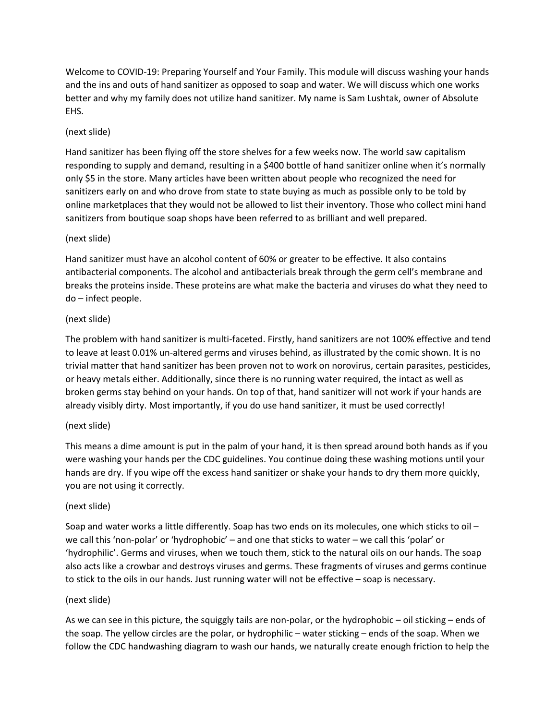Welcome to COVID-19: Preparing Yourself and Your Family. This module will discuss washing your hands and the ins and outs of hand sanitizer as opposed to soap and water. We will discuss which one works better and why my family does not utilize hand sanitizer. My name is Sam Lushtak, owner of Absolute EHS.

# (next slide)

Hand sanitizer has been flying off the store shelves for a few weeks now. The world saw capitalism responding to supply and demand, resulting in a \$400 bottle of hand sanitizer online when it's normally only \$5 in the store. Many articles have been written about people who recognized the need for sanitizers early on and who drove from state to state buying as much as possible only to be told by online marketplaces that they would not be allowed to list their inventory. Those who collect mini hand sanitizers from boutique soap shops have been referred to as brilliant and well prepared.

## (next slide)

Hand sanitizer must have an alcohol content of 60% or greater to be effective. It also contains antibacterial components. The alcohol and antibacterials break through the germ cell's membrane and breaks the proteins inside. These proteins are what make the bacteria and viruses do what they need to do – infect people.

## (next slide)

The problem with hand sanitizer is multi-faceted. Firstly, hand sanitizers are not 100% effective and tend to leave at least 0.01% un-altered germs and viruses behind, as illustrated by the comic shown. It is no trivial matter that hand sanitizer has been proven not to work on norovirus, certain parasites, pesticides, or heavy metals either. Additionally, since there is no running water required, the intact as well as broken germs stay behind on your hands. On top of that, hand sanitizer will not work if your hands are already visibly dirty. Most importantly, if you do use hand sanitizer, it must be used correctly!

# (next slide)

This means a dime amount is put in the palm of your hand, it is then spread around both hands as if you were washing your hands per the CDC guidelines. You continue doing these washing motions until your hands are dry. If you wipe off the excess hand sanitizer or shake your hands to dry them more quickly, you are not using it correctly.

### (next slide)

Soap and water works a little differently. Soap has two ends on its molecules, one which sticks to oil – we call this 'non-polar' or 'hydrophobic' – and one that sticks to water – we call this 'polar' or 'hydrophilic'. Germs and viruses, when we touch them, stick to the natural oils on our hands. The soap also acts like a crowbar and destroys viruses and germs. These fragments of viruses and germs continue to stick to the oils in our hands. Just running water will not be effective – soap is necessary.

### (next slide)

As we can see in this picture, the squiggly tails are non-polar, or the hydrophobic – oil sticking – ends of the soap. The yellow circles are the polar, or hydrophilic – water sticking – ends of the soap. When we follow the CDC handwashing diagram to wash our hands, we naturally create enough friction to help the